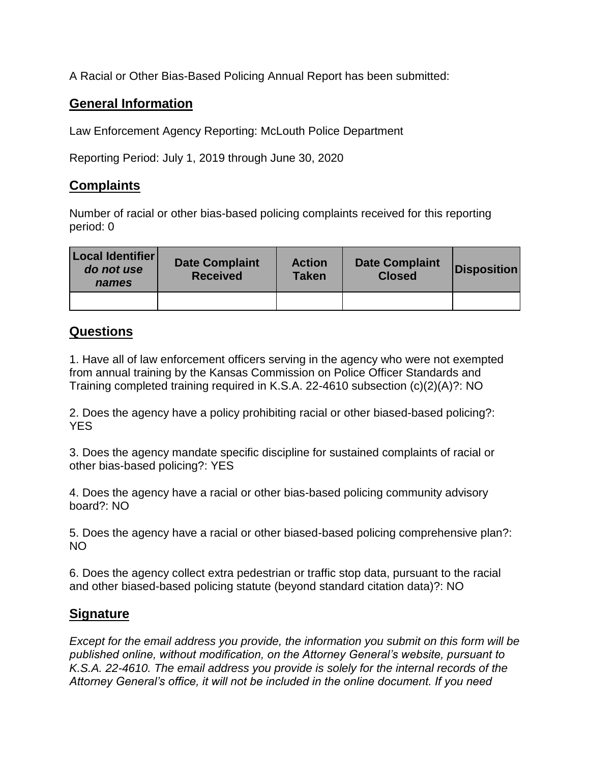A Racial or Other Bias-Based Policing Annual Report has been submitted:

## **General Information**

Law Enforcement Agency Reporting: McLouth Police Department

Reporting Period: July 1, 2019 through June 30, 2020

## **Complaints**

Number of racial or other bias-based policing complaints received for this reporting period: 0

| Local Identifier<br>do not use<br>names | <b>Date Complaint</b><br><b>Received</b> | <b>Action</b><br><b>Taken</b> | <b>Date Complaint</b><br><b>Closed</b> | Disposition |
|-----------------------------------------|------------------------------------------|-------------------------------|----------------------------------------|-------------|
|                                         |                                          |                               |                                        |             |

## **Questions**

1. Have all of law enforcement officers serving in the agency who were not exempted from annual training by the Kansas Commission on Police Officer Standards and Training completed training required in K.S.A. 22-4610 subsection (c)(2)(A)?: NO

2. Does the agency have a policy prohibiting racial or other biased-based policing?: YES

3. Does the agency mandate specific discipline for sustained complaints of racial or other bias-based policing?: YES

4. Does the agency have a racial or other bias-based policing community advisory board?: NO

5. Does the agency have a racial or other biased-based policing comprehensive plan?: NO

6. Does the agency collect extra pedestrian or traffic stop data, pursuant to the racial and other biased-based policing statute (beyond standard citation data)?: NO

## **Signature**

*Except for the email address you provide, the information you submit on this form will be published online, without modification, on the Attorney General's website, pursuant to K.S.A. 22-4610. The email address you provide is solely for the internal records of the Attorney General's office, it will not be included in the online document. If you need*